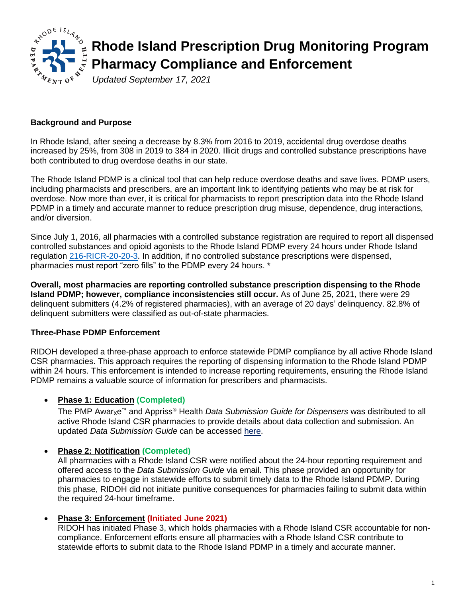

## **Background and Purpose**

In Rhode Island, after seeing a decrease by 8.3% from 2016 to 2019, accidental drug overdose deaths increased by 25%, from 308 in 2019 to 384 in 2020. Illicit drugs and controlled substance prescriptions have both contributed to drug overdose deaths in our state.

The Rhode Island PDMP is a clinical tool that can help reduce overdose deaths and save lives. PDMP users, including pharmacists and prescribers, are an important link to identifying patients who may be at risk for overdose. Now more than ever, it is critical for pharmacists to report prescription data into the Rhode Island PDMP in a timely and accurate manner to reduce prescription drug misuse, dependence, drug interactions, and/or diversion.

Since July 1, 2016, all pharmacies with a controlled substance registration are required to report all dispensed controlled substances and opioid agonists to the Rhode Island PDMP every 24 hours under Rhode Island regulation [216-RICR-20-20-3.](https://rules.sos.ri.gov/regulations/part/216-20-20-3) In addition, if no controlled substance prescriptions were dispensed, pharmacies must report "zero fills" to the PDMP every 24 hours. \*

**Overall, most pharmacies are reporting controlled substance prescription dispensing to the Rhode Island PDMP; however, compliance inconsistencies still occur.** As of June 25, 2021, there were 29 delinquent submitters (4.2% of registered pharmacies), with an average of 20 days' delinquency. 82.8% of delinquent submitters were classified as out-of-state pharmacies.

### **Three-Phase PDMP Enforcement**

RIDOH developed a three-phase approach to enforce statewide PDMP compliance by all active Rhode Island CSR pharmacies. This approach requires the reporting of dispensing information to the Rhode Island PDMP within 24 hours. This enforcement is intended to increase reporting requirements, ensuring the Rhode Island PDMP remains a valuable source of information for prescribers and pharmacists.

#### • **Phase 1: Education (Completed)**

The PMP Awarxe™ and Appriss® Health *Data Submission Guide for Dispensers* was distributed to all active Rhode Island CSR pharmacies to provide details about data collection and submission. An updated *Data Submission Guide* can be accessed [here.](https://health.ri.gov/publications/guides/DataSubmissionDispenserGuideRIPDMP.pdf)

#### • **Phase 2: Notification (Completed)**

All pharmacies with a Rhode Island CSR were notified about the 24-hour reporting requirement and offered access to the *Data Submission Guide* via email. This phase provided an opportunity for pharmacies to engage in statewide efforts to submit timely data to the Rhode Island PDMP. During this phase, RIDOH did not initiate punitive consequences for pharmacies failing to submit data within the required 24-hour timeframe.

#### • **Phase 3: Enforcement (Initiated June 2021)**

RIDOH has initiated Phase 3, which holds pharmacies with a Rhode Island CSR accountable for noncompliance. Enforcement efforts ensure all pharmacies with a Rhode Island CSR contribute to statewide efforts to submit data to the Rhode Island PDMP in a timely and accurate manner.